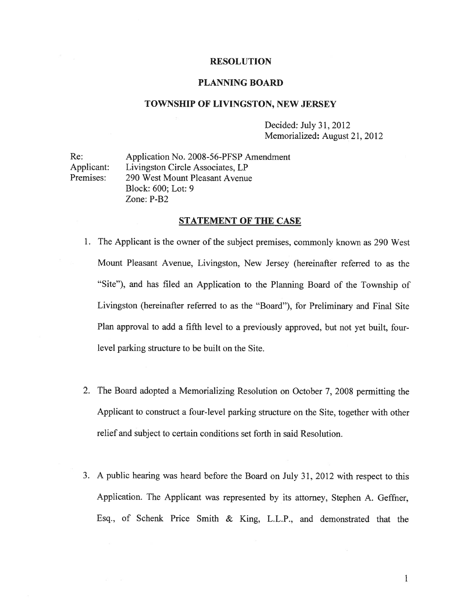#### RESOLUTION

### PLANNING BOARD

#### TOWNSHIP OF LIVINGSTON, NEW JERSEY

Decided: July 31, 2012 Memorialized: August 21, 2012

Re: Application No. 2008-56-PFSP Amendment Applicant: Livingston Circle Associates, LP Premises: 290 West Mount Pleasant Avenue Block: 600; Lot: 9 Zone: P-B2

## STATEMENT OF THE CASE

- 1. The Applicant is the owner of the subject premises, commonly known as 290 West Mount Pleasant Avenue, Livingston, New Jersey (hereinafter referred to as the "Site"), and has filed an Application to the Planning Board of the Township of Livingston (hereinafter referred to as the "Board"), for Preliminary and Final Site Plan approva<sup>l</sup> to add <sup>a</sup> fifth level to <sup>a</sup> previously approved, but not ye<sup>t</sup> built, fourlevel parking structure to be built on the Site.
- 2. The Board adopted <sup>a</sup> Memorializing Resolution on October 7, <sup>2008</sup> permitting the Applicant to construct <sup>a</sup> four-level parking structure on the Site, together with other relief and subject to certain conditions set forth in said Resolution.
- 3. <sup>A</sup> public hearing was heard before the Board on July 31, <sup>2012</sup> with respec<sup>t</sup> to this Application. The Applicant was represented by its attorney, Stephen A. Geffner, Esq., of Schenk Price Smith & King, L.L.P., and demonstrated that the

 $\mathbf{1}$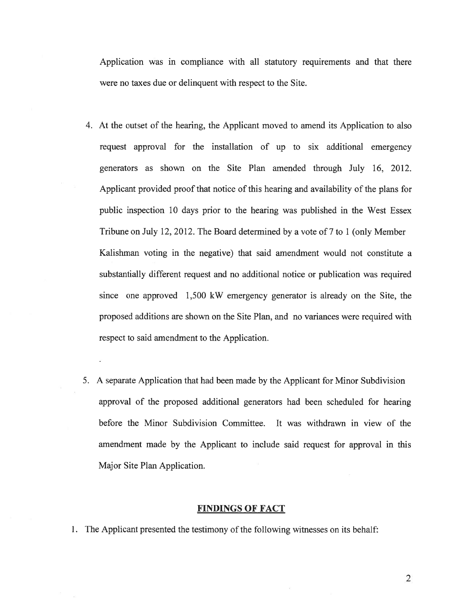Application was in compliance with all statutory requirements and that there were no taxes due or delinquent with respec<sup>t</sup> to the Site.

- 4. At the outset of the hearing, the Applicant moved to amend its Application to also reques<sup>t</sup> approval for the installation of up to six additional emergency generators as shown on the Site Plan amended through July 16, 2012. Applicant provided proof that notice of this hearing and availability of the plans for public inspection 10 days prior to the hearing was published in the West Essex Tribune on July 12, 2012. The Board determined by <sup>a</sup> vote of 7 to 1 (only Member Kalishman voting in the negative) that said amendment would not constitute <sup>a</sup> substantially different reques<sup>t</sup> and no additional notice or publication was required since one approved 1,500 kW emergency generator is already on the Site, the proposed additions are shown on the Site Plan, and no variances were required with respec<sup>t</sup> to said amendment to the Application.
- 5. A separate Application that had been made by the Applicant for Minor Subdivision approval of the proposed additional generators had been scheduled for hearing before the Minor Subdivision Committee. It was withdrawn in view of the amendment made by the Applicant to include said reques<sup>t</sup> for approval in this Major Site Plan Application.

### FINDINGS OF FACT

1. The Applicant presented the testimony of the following witnesses on its behalf: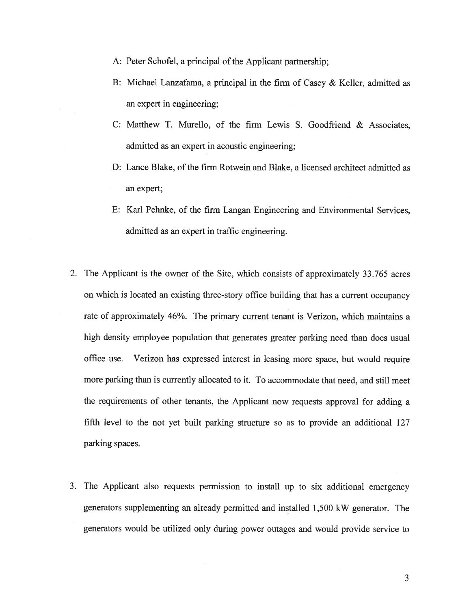- A: Peter Schofel, <sup>a</sup> principal of the Applicant partnership;
- B: Michael Lanzafama, <sup>a</sup> principal in the firm of Casey & Keller, admitted as an exper<sup>t</sup> in engineering;
- C: Matthew T. Murello, of the firm Lewis S. Goodfriend & Associates, admitted as an exper<sup>t</sup> in acoustic engineering;
- D: Lance Blake, of the firm Rotwein and Blake, <sup>a</sup> licensed architect admitted as an expert;
- E: Karl Pehnke, of the firm Langan Engineering and Environmental Services, admitted as an exper<sup>t</sup> in traffic engineering.
- 2. The Applicant is the owner of the Site, which consists of approximately 33.765 acres on which is located an existing three-story office building that has <sup>a</sup> current occupancy rate of approximately 46%. The primary current tenant is Verizon, which maintains <sup>a</sup> high density employee population that generates greater parking need than does usual office use. Verizon has expressed interest in leasing more space, but would require more parking than is currently allocated to it. To accommodate that need, and still meet the requirements of other tenants, the Applicant now requests approval for adding <sup>a</sup> fifth level to the not ye<sup>t</sup> built parking structure so as to provide an additional 127 parking spaces.
- 3. The Applicant also requests permission to install up to six additional emergency generators supplementing an already permitted and installed 1,500 kW generator. The generators would be utilized only during power outages and would provide service to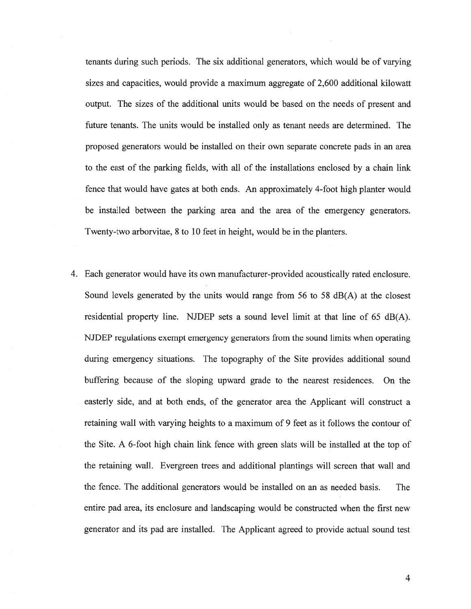tenants during such periods. The six additional generators, which would be of varying sizes and capacities, would provide <sup>a</sup> maximum aggregate of 2,600 additional kilowatt output. The sizes of the additional units would be based on the needs of presen<sup>t</sup> and future tenants. The units would be installed only as tenant needs are determined. The proposed generators would be installed on their own separate concrete pads in an area to the east of the parking fields, with all of the installations enclosed by <sup>a</sup> chain link fence that would have gates at both ends. An approximately 4-foot high planter would be installed between the parking area and the area of the emergency generators. Twenty-two arborvitae, 8 to 10 feet in height, would be in the planters.

4. Each generator would have its own manufacturer-provided acoustically rated enclosure. Sound levels generated by the units would range from 56 to 58 dB(A) at the closest residential property line. NJDEP sets <sup>a</sup> sound level limit at that line of 65 dB(A). NJDEP regulations exemp<sup>t</sup> emergency generators from the sound limits when operating during emergency situations. The topography of the Site provides additional sound buffering because of the sloping upward grade to the nearest residences. On the easterly side, and at both ends, of the generator area the Applicant will construct <sup>a</sup> retaining wall with varying heights to <sup>a</sup> maximum of 9 feet as it follows the contour of the Site. A 6-foot high chain link fence with green slats will be installed at the top of the retaining wall. Evergreen trees and additional plantings will screen that wall and the fence. The additional generators would be installed on an as needed basis. The entire pad area, its enclosure and landscaping would be constructed when the first new generator and its pad are installed. The Applicant agreed to provide actual sound test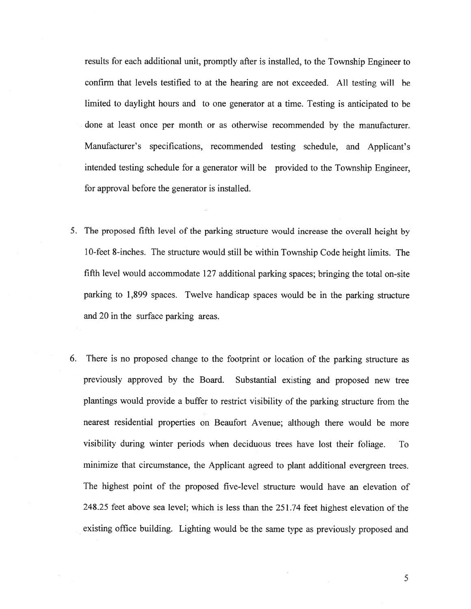results for each additional unit, promptly after is installed, to the Township Engineer to confirm that levels testified to at the hearing are not exceeded. All testing will be limited to daylight hours and to one generator at <sup>a</sup> time. Testing is anticipated to be done at least once per month or as otherwise recommended by the manufacturer. Manufacturer's specifications, recommended testing schedule, and Applicant's intended testing schedule for <sup>a</sup> generator will be provided to the Township Engineer, for approval before the generator is installed.

- 5. The propose<sup>d</sup> fifth level of the parking structure would increase the overall height by 10-feet 8-inches. The structure would still be within Township Code height limits. The fifth level would accommodate 127 additional parking spaces; bringing the total on-site parking to 1,899 spaces. Twelve handicap spaces would be in the parking structure and 20 in the surface parking areas.
- 6. There is no propose<sup>d</sup> change to the footprint or location of the parking structure as previously approve<sup>d</sup> by the Board. Substantial existing and propose<sup>d</sup> new tree <sup>p</sup>lantings would provide <sup>a</sup> buffer to restrict visibility of the parking structure from the nearest residential properties on Beaufort Avenue; although there would be more visibility during winter periods when deciduous trees have lost their foliage. To minimize that circumstance, the Applicant agreed to <sup>p</sup>lant additional evergreen trees. The highest point of the proposed five-level structure would have an elevation of 248.25 feet above sea level; which is less than the 251.74 feet highest elevation of the existing office building. Lighting would be the same type as previously propose<sup>d</sup> and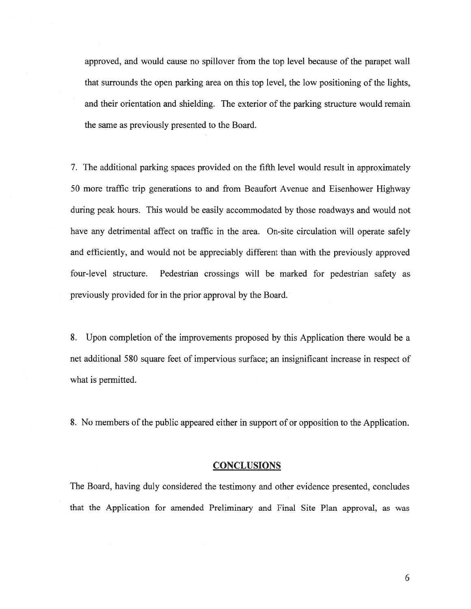approved, and would cause no spillover from the top level because of the parape<sup>t</sup> wall that surrounds the open parking area on this top level, the low positioning of the lights, and their orientation and shielding. The exterior of the parking structure would remain the same as previously presented to the Board.

7. The additional parking spaces provided on the fifth level would result in approximately 50 more traffic trip generations to and from Beaufort Avenue and Eisenhower Highway during peak hours. This would be easily accommodated by those roadways and would not have any detrimental affect on traffic in the area. On-site circulation will operate safely and efficiently, and would not be appreciably different than with the previously approved four-level structure. Pedestrian crossings will be marked for pedestrian safety as previously provided for in the prior approval by the Board.

8. Upon completion of the improvements proposed by this Application there would be <sup>a</sup> net additional 580 square feet of impervious surface; an insignificant increase in respec<sup>t</sup> of what is permitted.

8. No members of the public appeared either in support of or opposition to the Application.

#### **CONCLUSIONS**

The Board, having duly considered the testimony and other evidence presented, concludes that the Application for amended Preliminary and Final Site Plan approval, as was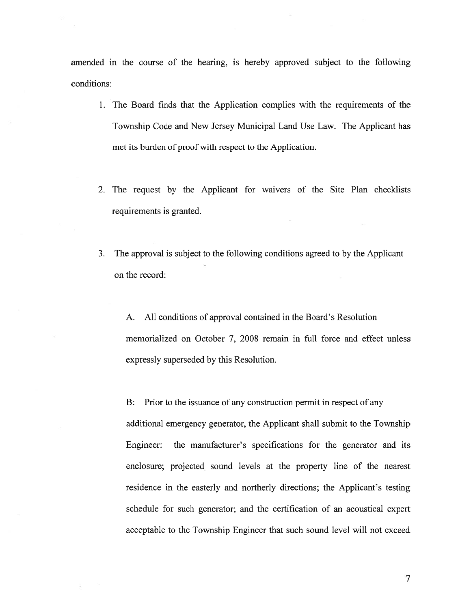amended in the course of the hearing, is hereby approved subject to the following conditions:

- 1. The Board finds that the Application complies with the requirements of the Township Code and New Jersey Municipal Land Use Law. The Applicant has met its burden of proof with respec<sup>t</sup> to the Application.
- 2. The reques<sup>t</sup> by the Applicant for waivers of the Site Plan checklists requirements is granted.
- 3. The approval is subject to the following conditions agreed to by the Applicant on the record:

A. All conditions of approval contained in the Board's Resolution memorialized on October 7, 2008 remain in full force and effect unless expressly superseded by this Resolution.

B: Prior to the issuance of any construction permit in respect of any additional emergency generator, the Applicant shall submit to the Township Engineer: the manufacturer's specifications for the generator and its enclosure; projected sound levels at the property line of the nearest residence in the easterly and northerly directions; the Applicant's testing schedule for such generator; and the certification of an acoustical exper<sup>t</sup> acceptable to the Township Engineer that such sound level will not exceed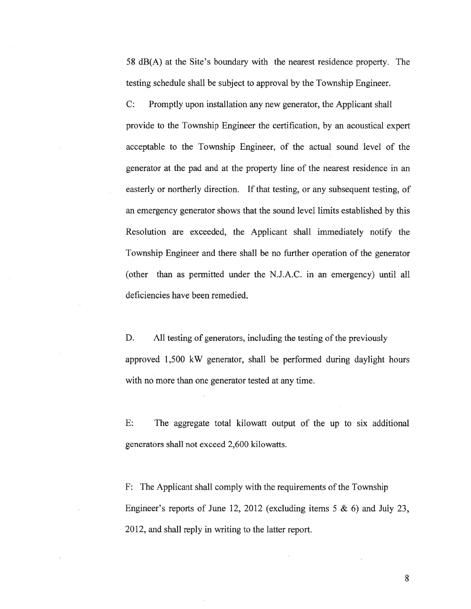58 dB(A) at the Site's boundary with the nearest residence property. The testing schedule shall be subject to approval by the Township Engineer.

C: Promptly upon installation any new generator, the Applicant shall provide to the Township Engineer the certification, by an acoustical exper<sup>t</sup> acceptable to the Township Engineer, of the actual sound level of the generator at the pad and at the property line of the nearest residence in an easterly or northerly direction. If that testing, or any subsequent testing, of an emergency generator shows that the sound level limits established by this Resolution are exceeded, the Applicant shall immediately notify the Township Engineer and there shall be no further operation of the generator (other than as permitted under the N.J.A.C. in an emergency) until all deficiencies have been remedied.

D. All testing of generators, including the testing of the previously approved 1,500 kW generator, shall be performed during daylight hours with no more than one generator tested at any time.

E: The aggregate total kilowatt output of the up to six additional generators shall not exceed 2,600 kilowatts.

F: The Applicant shall comply with the requirements of the Township Engineer's reports of June 12, 2012 (excluding items 5  $\&$  6) and July 23, 2012, and shall reply in writing to the latter report.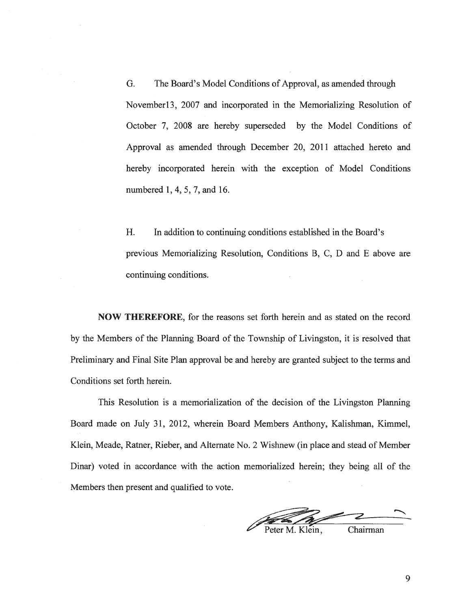G. The Board's Model Conditions of Approval, as amended through November13, 2007 and incorporated in the Memorializing Resolution of October 7, 2008 are hereby superseded by the Model Conditions of Approval as amended through December 20, 2011 attached hereto and hereby incorporated herein with the exception of Model Conditions numbered 1,4, 5, 7, and 16.

H. In addition to continuing conditions established in the Board's previous Memorializing Resolution, Conditions B, C, D and E above are continuing conditions.

NOW THEREFORE, for the reasons set forth herein and as stated on the record by the Members of the Planning Board of the Township of Livingston, it is resolved that Preliminary and Final Site Plan approval be and hereby are granted subject to the terms and Conditions set forth herein.

This Resolution is <sup>a</sup> memorialization of the decision of the Livingston Planning Board made on July 31, 2012, wherein Board Members Anthony, Kalishman, Kimmel, Klein, Meade, Ratner, Rieber, and Alternate No. 2 Wishnew (in place and stead of Member Dinar) voted in accordance with the action memorialized herein; they being all of the Members then presen<sup>t</sup> and qualified to vote.

eter M. Klein, Chairman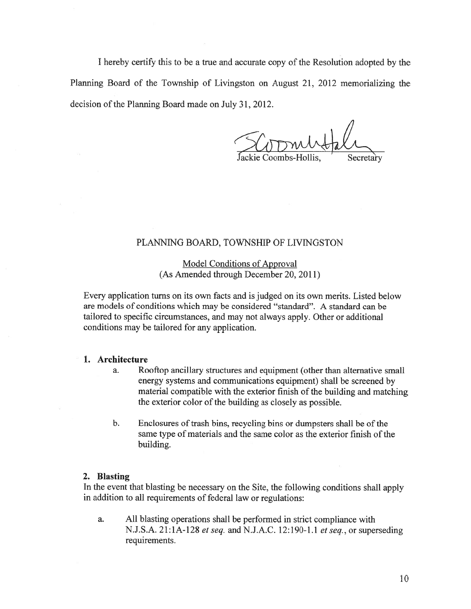I hereby certify this to be <sup>a</sup> true and accurate copy of the Resolution adopted by the Planning Board of the Township of Livingston on August 21, 2012 memorializing the decision of the Planning Board made on July 31, 2012.

Jackie Coombs-Hollis, Secretary

## PLANNING BOARD, TOWNSHIP OF LIVINGSTON

Model Conditions of Approval (As Amended through December 20, 2011)

Every application turns on its own facts and is judged on its own merits. Listed below are models of conditions which may be considered "standard". A standard can be tailored to specific circumstances, and may not always apply. Other or additional conditions may be tailored for any application.

## 1. Architecture

- a. Rooftop ancillary structures and equipment (other than alternative small energy systems and communications equipment) shall be screened by material compatible with the exterior finish of the building and matching the exterior color of the building as closely as possible.
- b. Enclosures of trash bins, recycling bins or dumpsters shall be of the same type of materials and the same color as the exterior finish of the building.

#### 2. Blasting

In the event that blasting be necessary on the Site, the following conditions shall apply in addition to all requirements of federal law or regulations:

a. All blasting operations shall be performed in strict compliance with N.J.S.A. 21:1A-128 *et seq.* and N.J.A.C. 12:190-1.1 *et seq.*, or superseding requirements.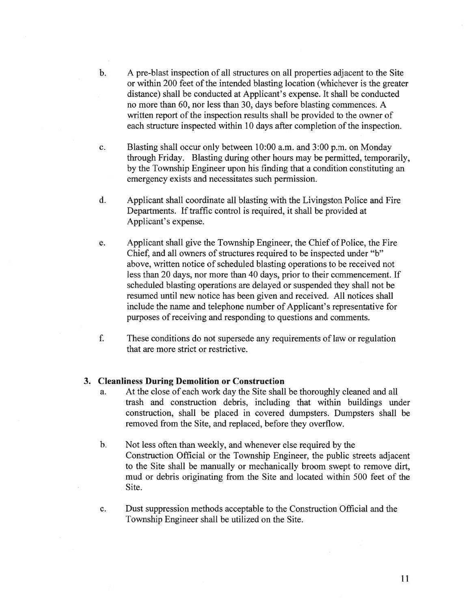- b. A pre-blast inspection of all structures on all properties adjacent to the Site or within 200 feet of the intended blasting location (whichever is the greater distance) shall be conducted at Applicant's expense. It shall be conducted no more than 60, nor less than 30, days before blasting commences. A written repor<sup>t</sup> of the inspection results shall be provided to the owner of each structure inspected within 10 days after completion of the inspection.
- c. Blasting shall occur only between 10:00 a.m. and 3:00 p.m. on Monday through Friday. Blasting during other hours may be permitted, temporarily, by the Township Engineer upon his finding that <sup>a</sup> condition constituting an emergency exists and necessitates such permission.
- d. Applicant shall coordinate all blasting with the Livingston Police and Fire Departments. If traffic control is required, it shall be provided at Applicant's expense.
- e. Applicant shall give the Township Engineer, the Chief of Police, the Fire Chief, and all owners of structures required to be inspected under "b" above, written notice of scheduled blasting operations to be received not less than 20 days, nor more than 40 days, prior to their commencement. If scheduled blasting operations are delayed or suspended they shall not be resumed until new notice has been given and received. All notices shall include the name and telephone number of Applicant's representative for purposes of receiving and responding to questions and comments.
- f. These conditions do not supersede any requirements of law or regulation that are more strict or restrictive.

### 3. Cleanliness During Demolition or Construction

- a. At the close of each work day the Site shall be thoroughly cleaned and all trash and construction debris, including that within buildings under construction, shall be placed in covered dumpsters. Dumpsters shall be removed from the Site, and replaced, before they overflow.
- b. Not less often than weekly, and whenever else required by the Construction Official or the Township Engineer, the public streets adjacent to the Site shall be manually or mechanically broom swep<sup>t</sup> to remove dirt, mud or debris originating from the Site and located within 500 feet of the Site.
- c. Dust suppression methods acceptable to the Construction Official and the Township Engineer shall be utilized on the Site.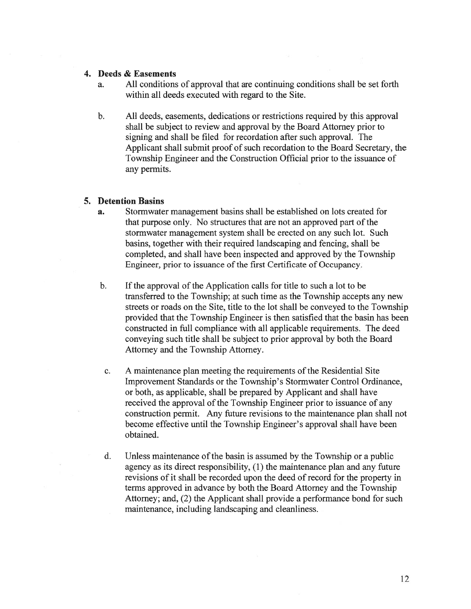## 4. Deeds & Easements

- a. All conditions of approval that are continuing conditions shall be set forth within all deeds executed with regard to the Site.
- b. All deeds, easements, dedications or restrictions required by this approval shall be subject to review and approval by the Board Attorney prior to signing and shall be filed for recordation after such approval. The Applicant shall submit proof of such recordation to the Board Secretary, the Township Engineer and the Construction Official prior to the issuance of any permits.

## 5. Detention Basins

- a. Stormwater managemen<sup>t</sup> basins shall be established on lots created for that purpose only. No structures that are not an approved par<sup>t</sup> of the stormwater managemen<sup>t</sup> system shall be erected on any such lot. Such basins, together with their required landscaping and fencing, shall be completed, and shall have been inspected and approved by the Township Engineer, prior to issuance of the first Certificate of Occupancy.
- b. If the approval of the Application calls for title to such a lot to be transferred to the Township; at such time as the Township accepts any new streets or roads on the Site, title to the lot shall be conveyed to the Township provided that the Township Engineer is then satisfied that the basin has been constructed in full compliance with all applicable requirements. The deed conveying such title shall be subject to prior approval by both the Board Attorney and the Township Attorney.
- c. A maintenance plan meeting the requirements of the Residential Site Improvement Standards or the Township's Stormwater Control Ordinance, or both, as applicable, shall be prepared by Applicant and shall have received the approval of the Township Engineer prior to issuance of any construction permit. Any future revisions to the maintenance plan shall not become effective until the Township Engineer's approval shall have been obtained.
- d. Unless maintenance of the basin is assumed by the Township or a public agency as its direct responsibility, (1) the maintenance plan and any future revisions of it shall be recorded upon the deed of record for the property in terms approved in advance by both the Board Attorney and the Township Attorney; and, (2) the Applicant shall provide <sup>a</sup> performance bond for such maintenance, including landscaping and cleanliness.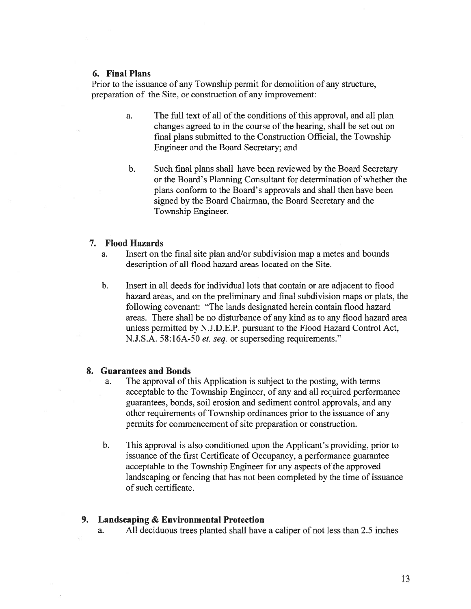#### 6. Final Plans

Prior to the issuance of any Township permit for demolition of any structure, preparation of the Site, or construction of any improvement:

- a. The full text of all of the conditions of this approval, and all plan changes agreed to in the course of the hearing, shall be set out on final plans submitted to the Construction Official, the Township Engineer and the Board Secretary; and
- b. Such final plans shall have been reviewed by the Board Secretary or the Board's Planning Consultant for determination of whether the plans conform to the Board's approvals and shall then have been signed by the Board Chairman, the Board Secretary and the Township Engineer.

#### 7. Flood Hazards

- a. Insert on the final site plan and/or subdivision map <sup>a</sup> metes and bounds description of all flood hazard areas located on the Site.
- b. Insert in all deeds for individual lots that contain or are adjacent to flood hazard areas, and on the preliminary and final subdivision maps or plats, the following covenant: "The lands designated herein contain flood hazard areas. There shall be no disturbance of any kind as to any flood hazard area unless permitted by N.J.D.E.P. pursuan<sup>t</sup> to the Flood Hazard Control Act, N.J.S.A. 58:16A-50 et. seq. or superseding requirements."

#### 8. Guarantees and Bonds

- a. The approval of this Application is subject to the posting, with terms acceptable to the Township Engineer, of any and all required performance guarantees, bonds, soil erosion and sediment control approvals, and any other requirements of Township ordinances prior to the issuance of any permits for commencement of site preparation or construction.
- b. This approval is also conditioned upon the Applicant's providing, prior to issuance of the first Certificate of Occupancy, a performance guarantee acceptable to the Township Engineer for any aspects of the approved landscaping or fencing that has not been completed by the time of issuance of such certificate.

#### 9. Landscaping & Environmental Protection

a. All deciduous trees planted shall have <sup>a</sup> caliper of not less than 2.5 inches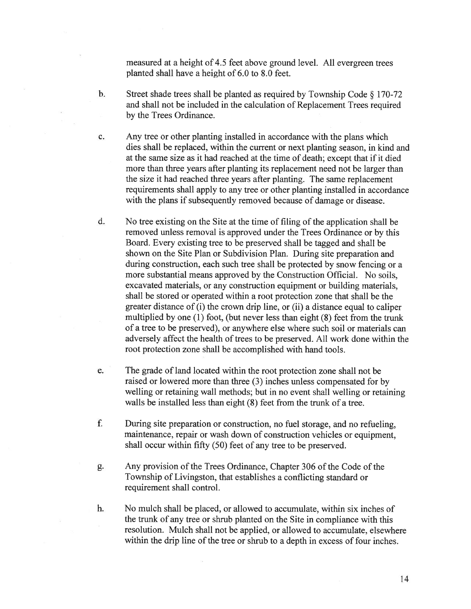measured at <sup>a</sup> height of 4.5 feet above ground level. All evergreen trees planted shall have <sup>a</sup> height of 6.0 to 8.0 feet.

- b. Street shade trees shall be <sup>p</sup>lanted as required by Township Code § 170-72 and shall not be included in the calculation of Replacement Trees required by the Trees Ordinance.
- c. Any tree or other planting installed in accordance with the plans which dies shall be replaced, within the current or next planting season, in kind and at the same size as it had reached at the time of death; excep<sup>t</sup> that if it died more than three years after planting its replacement need not be larger than the size it had reached three years after planting. The same replacement requirements shall apply to any tree or other planting installed in accordance with the plans if subsequently removed because of damage or disease.
- d. No tree existing on the Site at the time of filing of the application shall be removed unless removal is approved under the Trees Ordinance or by this Board. Every existing tree to be preserved shall be tagged and shall be shown on the Site Plan or Subdivision Plan. During site preparation and during construction, each such tree shall be protected by snow fencing or <sup>a</sup> more substantial means approved by the Construction Official. No soils, excavated materials, or any construction equipment or building materials, shall be stored or operated within <sup>a</sup> root protection zone that shall be the greater distance of (i) the crown drip line, or (ii) <sup>a</sup> distance equal to caliper multiplied by one (1) foot, (but never less than eight (8) feet from the trunk of <sup>a</sup> tree to be preserved), or anywhere else where such soil or materials can adversely affect the health of trees to be preserved. All work done within the root protection zone shall be accomplished with hand tools.
- e. The grade of land located within the root protection zone shall not be raised or lowered more than three (3) inches unless compensated for by welling or retaining wall methods; but in no event shall welling or retaining walls be installed less than eight (8) feet from the trunk of <sup>a</sup> tree.
- f. During site preparation or construction, no fuel storage, and no refueling, maintenance, repair or wash down of construction vehicles or equipment, shall occur within fifty (50) feet of any tree to be preserved.
- g. Any provision of the Trees Ordinance, Chapter 306 of the Code of the Township of Livingston, that establishes <sup>a</sup> conflicting standard or requirement shall control.
- h. No mulch shall be placed, or allowed to accumulate, within six inches of the trunk of any tree or shrub planted on the Site in compliance with this resolution. Mulch shall not be applied, or allowed to accumulate, elsewhere within the drip line of the tree or shrub to <sup>a</sup> depth in excess of four inches.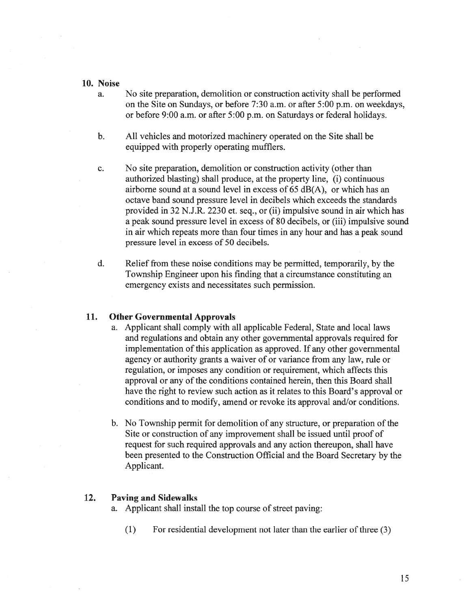#### 10. Noise

- a. No site preparation, demolition or construction activity shall be performed on the Site on Sundays, or before 7:30 a.m. or after 5:00 p.m. on weekdays, or before 9:00 a.m. or after 5:00 p.m. on Saturdays or federal holidays.
- b. All vehicles and motorized machinery operated on the Site shall be equipped with properly operating mufflers.
- c. No site preparation, demolition or construction activity (other than authorized blasting) shall produce, at the property line, (i) continuous airborne sound at <sup>a</sup> sound level in excess of 65 dB(A), or which has an octave band sound pressure level in decibels which exceeds the standards provided in 32 N.J.R. 2230 et. seq., or (ii) impulsive sound in air which has <sup>a</sup> peak sound pressure level in excess of 80 decibels, or (iii) impulsive sound in air which repeats more than four times in any hour and has <sup>a</sup> peak sound pressure level in excess of 50 decibels.
- d. Relief from these noise conditions may be permitted, temporarily, by the Township Engineer upon his finding that <sup>a</sup> circumstance constituting an emergency exists and necessitates such permission.

### 11. Other Governmental Approvals

- a. Applicant shall comply with all applicable Federal, State and local laws and regulations and obtain any other governmental approvals required for implementation of this application as approved. If any other governmental agency or authority grants <sup>a</sup> waiver of or variance from any law, rule or regulation, or imposes any condition or requirement, which affects this approval or any of the conditions contained herein, then this Board shall have the right to review such action as it relates to this Board's approval or conditions and to modify, amend or revoke its approval and/or conditions.
- b. No Township permit for demolition of any structure, or preparation of the Site or construction of any improvement shall be issued until proof of reques<sup>t</sup> for such required approvals and any action thereupon, shall have been presented to the Construction Official and the Board Secretary by the Applicant.

### 12. Paving and Sidewalks

- a. Applicant shall install the top course of street paving:
	- $(1)$  For residential development not later than the earlier of three  $(3)$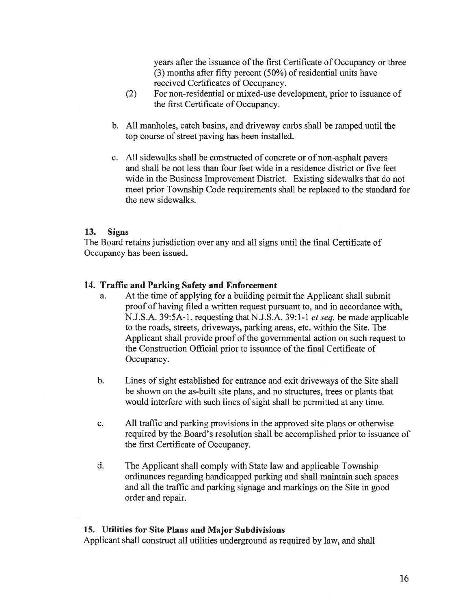years after the issuance of the first Certificate of Occupancy or three (3) months after fifty percen<sup>t</sup> (50%) of residential units have received Certificates of Occupancy.

- (2) For non-residential or mixed-use development, prior to issuance of the first Certificate of Occupancy.
- b. All manholes, catch basins, and driveway curbs shall be ramped until the top course of street paving has been installed.
- c. All sidewalks shall be constructed of concrete or of non-asphalt payers and shall be not less than four feet wide in <sup>a</sup> residence district or five feet wide in the Business Improvement District. Existing sidewalks that do not meet prior Township Code requirements shall be replaced to the standard for the new sidewalks.

## 13. Signs

The Board retains jurisdiction over any and all signs until the final Certificate of Occupancy has been issued.

### 14. Traffic and Parking Safety and Enforcement

- a. At the time of applying for <sup>a</sup> building permit the Applicant shall submit proof of having filed <sup>a</sup> written reques<sup>t</sup> pursuan<sup>t</sup> to, and in accordance with, N.J.S.A. 39:5A-1, requesting that N.J.S.A. 39:1-1 et seq. be made applicable to the roads, streets, driveways, parking areas, etc. within the Site. The Applicant shall provide proof of the governmental action on such reques<sup>t</sup> to the Construction Official prior to issuance of the final Certificate of Occupancy.
- b. Lines of sight established for entrance and exit driveways of the Site shall be shown on the as-built site plans, and no structures, trees or plants that would interfere with such lines of sight shall be permitted at any time.
- c. All traffic and parking provisions in the approved site plans or otherwise required by the Board's resolution shall be accomplished prior to issuance of the first Certificate of Occupancy.
- d. The Applicant shall comply with State law and applicable Township ordinances regarding handicapped parking and shall maintain such spaces and all the traffic and parking signage and markings on the Site in good order and repair.

### 15. Utilities for Site Plans and Major Subdivisions

Applicant shall construct all utilities underground as required by law, and shall